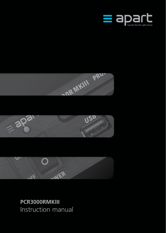







**PCR3000RMKIII** Instruction manual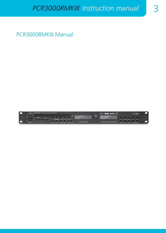PCR3000RMKIII Manual

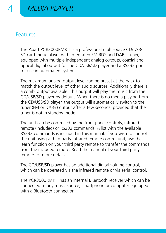### **Features**

The Apart PCR3000RMKIII is a professional multisource CD/USB/ SD card music player with integrated FM RDS and DAB+ tuner, equipped with multiple independent analog outputs, coaxial and optical digital output for the CD/USB/SD player and a RS232 port for use in automated systems.

The maximum analog output level can be preset at the back to match the output level of other audio sources. Additionally there is a combi output available. This output will play the music from the CD/USB/SD player by default. When there is no media playing from the CD/USB/SD player, the output will automatically switch to the tuner (FM or DAB+) output after a few seconds, provided that the tuner is not in standby mode.

The unit can be controlled by the front panel controls, infrared remote (included) or RS232 commands. A list with the available RS232 commands is included in this manual. If you wish to control the unit using a third party infrared remote control unit, use the learn function on your third party remote to transfer the commands from the included remote. Read the manual of your third party remote for more details.

The CD/USB/SD player has an additional digital volume control, which can be operated via the infrared remote or via serial control.

The PCR3000RMKIII has an internal Bluetooth receiver which can be connected to any music source, smartphone or computer equipped with a Bluetooth connection.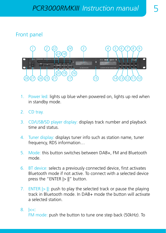### Front panel



- 1. Power led: lights up blue when powered on, lights up red when in standby mode.
- 2. CD tray.
- 3. CD/USB/SD player display: displays track number and playback time and status.
- 4. Tuner display: displays tuner info such as station name, tuner frequency, RDS information…
- 5. Mode: this button switches between DAB+, FM and Bluetooth mode.
- 6. BT device: selects a previously connected device, first activates Bluetooth mode if not active. To connect with a selected device press the "ENTER  $|>||$ " button.
- 7. ENTER  $|>||$ : push to play the selected track or pause the playing track in Bluetooth mode. In DAB+ mode the button will activate a selected station.
- 8 | kc:

FM mode: push the button to tune one step back (50kHz). To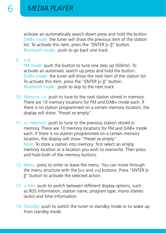activate an automatically search down press and hold the button. DAB+ mode: the tuner will show the previous item of the station list. To activate this item, press the "ENTER |> ||" button. Bluetooth mode: push to go back one track.

9. >>|:

FM mode: push the button to tune one step up (50kHz). To activate an automatic search up press and hold the button. DAB+ mode: the tuner will show the next item of the station list. To activate this item, press the "ENTER |> ||" button. Bluetooth mode: push to skip to the next track.

- 10. Memory >>: push to tune to the next station stored in memory. There are 10 memory locations for FM and DAB+ mode each. If there is no station programmed on a certain memory location, the display will show "Preset xx empty".
- 11. << Memory: push to tune to the previous station stored in memory. There are 10 memory locations for FM and DAB+ mode each. If there is no station programmed on a certain memory location, the display will show "Preset xx empty". Note: To store a station into memory: first select an empty memory location or a location you wish to overwrite. Then press and hold both of the memory buttons.
- 12. Menu: press to enter or leave the menu. You can move through the menu structure with the |<< and >>| buttons. Press "ENTER |> II" button to activate the selected action.
- $13. + \ln f$ o: push to switch between different display options, such as RDS information, station name, program type, mono /stereo (auto) and time information.
- 14. Standby: push to switch the tuner to standby mode or to wake up from standby mode.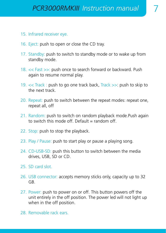- 15. Infrared receiver eye.
- 16. Eject: push to open or close the CD tray.
- 17. Standby: push to switch to standby mode or to wake up from standby mode.
- 18. << Fast >>: push once to search forward or backward. Push again to resume normal play.
- 19. << Track : push to go one track back, Track >>: push to skip to the next track.
- 20. Repeat: push to switch between the repeat modes: repeat one, repeat all, off
- 21. Random: push to switch on random playback mode.Push again to switch this mode off. Default  $=$  random off.
- 22. Stop: push to stop the playback.
- 23. Play / Pause: push to start play or pause a playing song.
- 24. CD-USB-SD: push this button to switch between the media drives, USB, SD or CD.
- 25. SD card slot.
- 26. USB connector: accepts memory sticks only, capacity up to 32 GB.
- 27. Power: push to power on or off. This button powers off the unit entirely in the off position. The power led will not light up when in the off position.
- 28. Removable rack ears.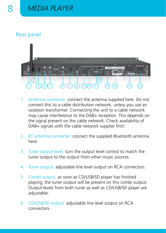### Rear panel



- 1. Antenna connector: connect the antenna supplied here. Do not connect this to a cable distribution network, unless you use an isolation transformer. Connecting the unit to a cable network may cause interference to the DAB+ reception. This depends on the signal present on the cable network. Check availability of DAB+ signals with the cable network supplier first!
- 2. BT antenna connecter: connect the supplied Bluetooth antenna here.
- 3. Tuner output level: turn the output level control to match the tuner output to the output from other music sources.
- 4. Tuner output: adjustable line level output on RCA connectors.
- 5. Combi output: as soon as CD/USB/SD player has finished playing, the tuner output will be present on this combi output. Output levels from both tuner as well as CD/USB/SD player are adjustable.
- 6. CD/USB/SD output: adjustable line level output on RCA connectors.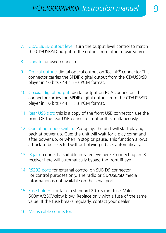- 7. CD/USB/SD output level: turn the output level control to match the CD/USB/SD output to the output from other music sources.
- 8. Update: unused connector.
- 9. Optical output: digital optical output on Toslink<sup>®</sup> connector.This connector carries the SPDIF digital output from the CD/USB/SD player in 16 bits / 44.1 kHz PCM format.
- 10. Coaxial digital output: digital output on RCA connector. This connector carries the SPDIF digital output from the CD/USB/SD player in 16 bits / 44.1 kHz PCM format.
- 11. Rear USB slot: this is a copy of the front USB connector, use the front OR the rear USB connector, not both simultaneously.
- 12. Operating mode switch: Autoplay: the unit will start playing back at power up. Cue: the unit will wait for a play command after power up, or when in stop or pause. This function allows a track to be selected without playing it back automatically.
- 13. IR jack: connect a suitable infrared eye here. Connecting an IR receiver here will automatically bypass the front IR eye.
- 14. RS232 port: for external control on SUB D9 connector. For control purposes only. The radio or CD/USB/SD media information is not available on the serial port.
- 15. Fuse holder: contains a standard 20 x 5 mm fuse. Value 500mA/250V/slow blow. Replace only with a fuse of the same value. If the fuse breaks regularly, contact your dealer.
- 16. Mains cable connector.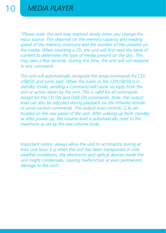*\*Please note: the unit may respond slowly when you change the input source. This depends on the memory capacity and reading speed of the memory stick/card and the number of files present on the media. When inserting a CD, the unit will first read the table of content to determine the type of media present on the disc. This may take a few seconds. During this time, the unit will not respond to any command.*

*The unit will automatically recognize the serial commands for CD/* USB/SD and tuner part. When the tuner or the CD/USB/SD is in *standby mode, sending a command will cause no reply from the unit or action taken by the unit. This is valid for all commands except for the CD ON and DAB ON commands. Note: the output level can also be adjusted during playback via the infrared remote or serial control commands. The output level controls (2,6) are located on the rear panel of the unit. After waking up from standby or after power up, the volume level is automatically reset to the maximum as set by the rear volume knob.*

*Important notice: always allow the unit to acclimatize during at least one hour. E.g when the unit has been transported in cold weather conditions, the electronics and optical devices inside the unit might condensate, causing malfunction or even permanent damage to the unit!*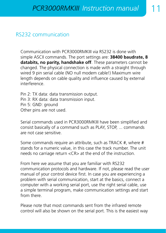### RS232 communication

Communication with PCR3000RMKIII via RS232 is done with simple ASCII commands. The port settings are: **38400 baudrate, 8 databits, no parity, handshake off**. These parameters cannot be changed. The physical connection is made with a straight through wired 9 pin serial cable (NO null modem cable!) Maximum wire length depends on cable quality and influence caused by external interference.

Pin 2: TX data: data transmission output. Pin 3: RX data: data transmission input. Pin 5: GND: ground Other pins are not used.

Serial commands used in PCR3000RMKIII have been simplified and consist basically of a command such as PLAY, STOP, ... commands are not case sensitive.

Some commands require an attribute, such as TRACK #, where # stands for a numeric value, in this case the track number. The unit needs no carriage return <CR> at the end of the instruction.

From here we assume that you are familiar with RS232 communication protocols and hardware. If not, please read the user manual of your control device first. In case you are experiencing a problem with serial communication, start at the basics, connect a computer with a working serial port, use the right serial cable, use a simple terminal program, make communication settings and start from there.

Please note that most commands sent from the infrared remote control will also be shown on the serial port. This is the easiest way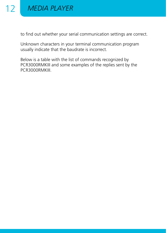

to find out whether your serial communication settings are correct.

Unknown characters in your terminal communication program usually indicate that the baudrate is incorrect.

Below is a table with the list of commands recognized by PCR3000RMKIII and some examples of the replies sent by the PCR3000RMKIII.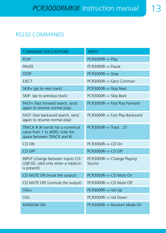# RS232 COMMANDS

| <b>COMMAND (DESCRIPTION)</b>                                                                      | <b>REPLY</b>                           |  |
|---------------------------------------------------------------------------------------------------|----------------------------------------|--|
| <b>PLAY</b>                                                                                       | PCR3000R--> Play                       |  |
| <b>PAUSE</b>                                                                                      | $PCR3000R--$ Pause                     |  |
| <b>STOP</b>                                                                                       | PCR3000R--> Stop                       |  |
| <b>EJECT</b>                                                                                      | PCR3000R--> Eject Comman               |  |
| SKIP+ (go to next track)                                                                          | PCR3000R--> Skip Next                  |  |
| SKIP- (go to previous track)                                                                      | PCR3000R--> Skip Back                  |  |
| FAST+ (fast forward search, send<br>again to resume normal play)                                  | PCR3000R--> Fast Play Forward          |  |
| FAST- (fast backword search, send<br>again to resume normal play)                                 | PCR3000R--> Fast Play Backward         |  |
| TRACK # (# stands for a numerical<br>value from 1 to 4095; note the<br>space between TRACK and #) | $PCR3000R\rightarrow$ Track $\cdot$ 25 |  |
| CD ON                                                                                             | PCR3000R--> CD On                      |  |
| CD OFF                                                                                            | $PCR3000R\rightarrow CD$ Off           |  |
| INPUT (change between inputs CD-<br>USB-SD, valid only when a medium<br>is present)               | PCR3000R--> Change Playing<br>Source   |  |
| CD MUTE ON (mute the output)                                                                      | PCR3000R--> CD Mute On                 |  |
| CD MUTE OFF (unmute the output)                                                                   | PCR3000R--> CD Mute Off                |  |
| VOL+                                                                                              | PCR3000R--> Vol Up                     |  |
| VOL-                                                                                              | PCR3000R--> Vol Down                   |  |
| <b>RANDOM ON</b>                                                                                  | PCR3000R--> Random Mode On             |  |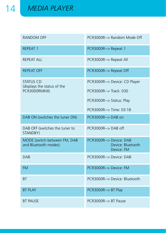| RANDOM OFF                                                        | PCR3000R--> Random Mode Off                                |  |
|-------------------------------------------------------------------|------------------------------------------------------------|--|
| <b>REPEAT 1</b>                                                   | PCR3000R--> Repeat 1                                       |  |
| <b>REPEAT ALL</b>                                                 | PCR3000R--> Repeat All                                     |  |
| <b>REPEAT OFF</b>                                                 | PCR3000R--> Repeat Off                                     |  |
| <b>STATUS CD</b><br>(displays the status of the<br>PCR3000RMKIII) | PCR3000R--> Device: CD Player                              |  |
|                                                                   | PCR3000R--> Track: 030                                     |  |
|                                                                   | PCR3000R--> Status: Play                                   |  |
|                                                                   | PCR3000R--> Time: 03:18                                    |  |
| DAB ON (switches the tuner ON)                                    | PCR3000R--> DAB on                                         |  |
| DAB OFF (switches the tuner to<br>STANDBY)                        | $PCR3000R\rightarrow DAB$ off                              |  |
| MODE (switch between FM, DAB<br>and Bluetooth modes).             | PCR3000R--> Device: DAB<br>Device: Bluetooth<br>Device: FM |  |
| <b>DAR</b>                                                        | PCR3000R--> Device: DAR                                    |  |
| <b>FM</b>                                                         | PCR3000R--> Device: FM                                     |  |
| <b>BT</b>                                                         | PCR3000R--> Device: Bluetooth                              |  |
| <b>BT PLAY</b>                                                    | PCR3000R--> BT Play                                        |  |
| <b>BT PAUSE</b>                                                   | PCR3000R--> BT Pause                                       |  |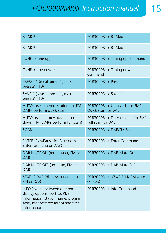# **PCR3000RMKIII** Instruction manual

| BT SKIP+                                                                                                                                                  | PCR3000R--> BT Skip+                                        |  |
|-----------------------------------------------------------------------------------------------------------------------------------------------------------|-------------------------------------------------------------|--|
| <b>BT SKIP-</b>                                                                                                                                           | PCR3000R--> BT Skip-                                        |  |
| TUNE+ (tune up)                                                                                                                                           | PCR3000R--> Tuning up command                               |  |
| TUNE- (tune down)                                                                                                                                         | PCR3000R--> Tuning down<br>command                          |  |
| PRESET 1 (recall preset1, max<br>$present = 10$                                                                                                           | PCR3000R--> Preset: 1                                       |  |
| SAVE 1 (save to preset1, max<br>$present = 10$                                                                                                            | PCR3000R--> Save: 1                                         |  |
| AUTO+ (search next station up, FM.<br>DAB+ perform quick scan)                                                                                            | PCR3000R--> Up search for FM/<br>Quick scan for DAB         |  |
| AUTO- (search previous station<br>down, FM. DAB+ perform full scan)                                                                                       | PCR3000R--> Down search for FM/<br><b>Full scan for DAB</b> |  |
| <b>SCAN</b>                                                                                                                                               | PCR3000R--> DAB/FM Scan                                     |  |
| ENTER (Play/Pause for Bluetooth,<br>Enter for menu or DAB)                                                                                                | PCR3000R--> Enter Command                                   |  |
| DAB MUTE ON (mute tuner, FM or<br>$DAB+$                                                                                                                  | PCR3000R--> DAB Mute On                                     |  |
| DAB MUTE OFF (un-mute, FM or<br>$DAB+$                                                                                                                    | PCR3000R--> DAB Mute Off                                    |  |
| STATUS DAB (displays tuner status,<br>$FM$ or $DAB+$ )                                                                                                    | PCR3000R--> 97.40 MHz FM Auto<br>(Stereo)                   |  |
| INFO (switch between different<br>display options, such as RDS<br>information, station name, program<br>type, mono/stereo (auto) and time<br>information. | PCR3000R--> Info Command                                    |  |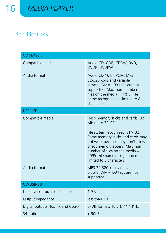# Specifications

| <b>CD PLAYER</b>                   |                                                                                                                                                                                                                                                                                                      |  |
|------------------------------------|------------------------------------------------------------------------------------------------------------------------------------------------------------------------------------------------------------------------------------------------------------------------------------------------------|--|
| Compatible media                   | Audio CD, CDR, CDRW, DVD,<br>DVDR, DVDRW                                                                                                                                                                                                                                                             |  |
| Audio format                       | Audio CD 16 bit PCM, MP3<br>32-320 kbps and variable<br>bitrate, WMA. ID3 tags are not<br>supported. Maximum number of<br>files on the media $=$ 4095. File<br>name recognition is limited to 8<br>characters.                                                                                       |  |
| $USB - SD$                         |                                                                                                                                                                                                                                                                                                      |  |
| Compatible media                   | Flash memory sticks and cards, 32<br>Mb up to 32 GB.<br>File system recognized is FAT32.<br>Some memory sticks and cards may<br>not work because they don't allow<br>direct memory access! Maximum<br>number of files on the media $=$<br>4095. File name recognition is<br>limited to 8 characters. |  |
| Audio format                       | MP3 32-320 kbps and variable<br>bitrate, WMA ID3 tags are not<br>supported.                                                                                                                                                                                                                          |  |
| CD-USB-SD                          |                                                                                                                                                                                                                                                                                                      |  |
| Line level outputs, unbalanced     | 1.9 V adjustable                                                                                                                                                                                                                                                                                     |  |
| Output impedance                   | less than 1 KO                                                                                                                                                                                                                                                                                       |  |
| Digital outputs (Toslink and Coax) | SPDIF format, 16 BIT, 44.1 KHz                                                                                                                                                                                                                                                                       |  |
| S/N ratio                          | >90dB                                                                                                                                                                                                                                                                                                |  |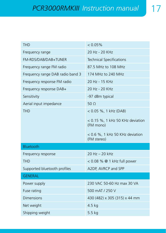| <b>THD</b>                       | $< 0.05\%$                                       |  |
|----------------------------------|--------------------------------------------------|--|
| Frequency range                  | 20 Hz - 20 KHz                                   |  |
| FM-RDS/DAB/DAB+TUNER             | <b>Technical Specifications</b>                  |  |
| Frequency range FM radio         | 87.5 MHz to 108 MHz                              |  |
| Frequency range DAB radio band 3 | 174 MHz to 240 MHz                               |  |
| Frequency response FM radio      | 20 Hz - 15 KHz                                   |  |
| Frequency response DAB+          | 20 Hz - 20 KHz                                   |  |
| Sensitivity                      | -97 dBm typical                                  |  |
| Aerial input impedance           | 50 <sub>o</sub>                                  |  |
| <b>THD</b>                       | $< 0.05$ %, 1 kHz (DAB)                          |  |
|                                  | $<$ 0.15 %, 1 kHz 50 KHz deviation<br>(FM mono)  |  |
|                                  | $<$ 0.6 %, 1 kHz 50 KHz deviation<br>(FM stereo) |  |
| Bluetooth                        |                                                  |  |
| Frequency response               | $20 Hz - 20 kHz$                                 |  |
| <b>THD</b>                       | $< 0.08$ % @ 1 kHz full power                    |  |
| Supported bluetooth profiles     | A2DP, AVRCP and SPP                              |  |
| <b>GENERAL</b>                   |                                                  |  |
| Power supply                     | 230 VAC 50-60 Hz max 30 VA                       |  |
| Fuse rating                      | 500 mAT / 250 V                                  |  |
| Dimensions                       | 430 (482) x 305 (315) x 44 mm                    |  |
| Net weight                       | $4.5$ kg                                         |  |
| Shipping weight                  | $5.5$ kg                                         |  |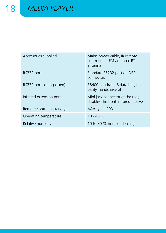| Accessories supplied        | Mains power cable, IR remote<br>control unit, FM antenna, BT<br>antenna  |
|-----------------------------|--------------------------------------------------------------------------|
| RS232 port                  | Standard RS232 port on DB9<br>connector.                                 |
| RS232 port setting (fixed)  | 38400 baudrate, 8 data bits, no<br>parity, handshake off                 |
| Infrared extension port     | Mini jack connector at the rear,<br>disables the front infrared receiver |
| Remote control battery type | AAA type LR03                                                            |
| Operating temperature       | $10 - 40 °C$                                                             |
| Relative humidity           | 10 to 80 % non condensing                                                |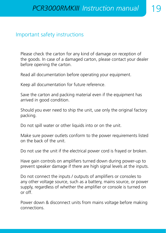### Important safety instructions

Please check the carton for any kind of damage on reception of the goods. In case of a damaged carton, please contact your dealer before opening the carton.

Read all documentation before operating your equipment.

Keep all documentation for future reference.

Save the carton and packing material even if the equipment has arrived in good condition.

Should you ever need to ship the unit, use only the original factory packing.

Do not spill water or other liquids into or on the unit.

Make sure power outlets conform to the power requirements listed on the back of the unit.

Do not use the unit if the electrical power cord is frayed or broken.

Have gain controls on amplifiers turned down during power-up to prevent speaker damage if there are high signal levels at the inputs.

Do not connect the inputs / outputs of amplifiers or consoles to any other voltage source, such as a battery, mains source, or power supply, regardless of whether the amplifier or console is turned on or off.

Power down & disconnect units from mains voltage before making connections.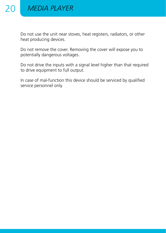

Do not use the unit near stoves, heat registers, radiators, or other heat producing devices.

Do not remove the cover. Removing the cover will expose you to potentially dangerous voltages.

Do not drive the inputs with a signal level higher than that required to drive equipment to full output.

In case of mal-function this device should be serviced by qualified service personnel only.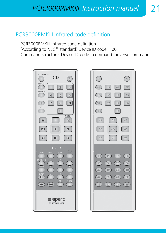## PCR3000RMKIII infrared code definition

PCR3000RMKIII infrared code definition (According to  $NEC^{\circledast}$  standard) Device ID code = 00FF Command structure: Device ID code - command - inverse command



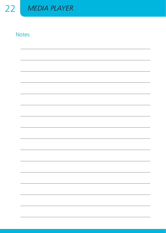

## **Notes**